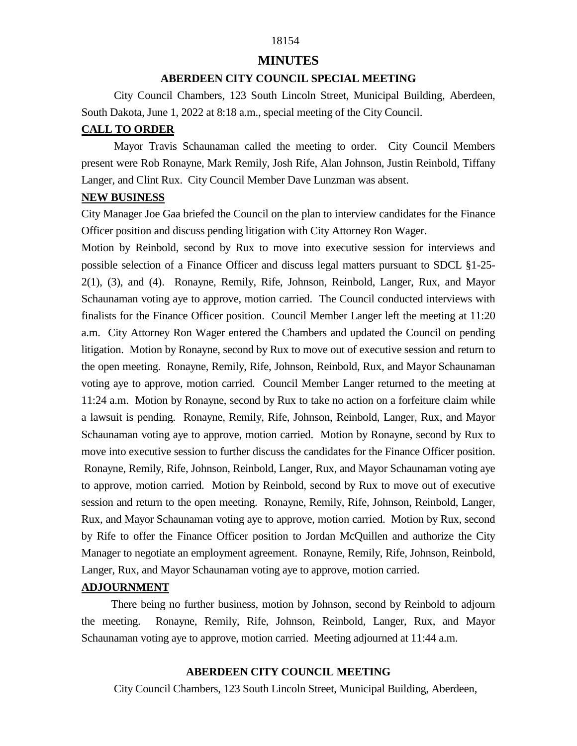# 18154

## **MINUTES**

# **ABERDEEN CITY COUNCIL SPECIAL MEETING**

 City Council Chambers, 123 South Lincoln Street, Municipal Building, Aberdeen, South Dakota, June 1, 2022 at 8:18 a.m., special meeting of the City Council.

#### **CALL TO ORDER**

 Mayor Travis Schaunaman called the meeting to order. City Council Members present were Rob Ronayne, Mark Remily, Josh Rife, Alan Johnson, Justin Reinbold, Tiffany Langer, and Clint Rux. City Council Member Dave Lunzman was absent.

## **NEW BUSINESS**

City Manager Joe Gaa briefed the Council on the plan to interview candidates for the Finance Officer position and discuss pending litigation with City Attorney Ron Wager.

Motion by Reinbold, second by Rux to move into executive session for interviews and possible selection of a Finance Officer and discuss legal matters pursuant to SDCL §1-25- 2(1), (3), and (4). Ronayne, Remily, Rife, Johnson, Reinbold, Langer, Rux, and Mayor Schaunaman voting aye to approve, motion carried. The Council conducted interviews with finalists for the Finance Officer position. Council Member Langer left the meeting at 11:20 a.m. City Attorney Ron Wager entered the Chambers and updated the Council on pending litigation. Motion by Ronayne, second by Rux to move out of executive session and return to the open meeting. Ronayne, Remily, Rife, Johnson, Reinbold, Rux, and Mayor Schaunaman voting aye to approve, motion carried. Council Member Langer returned to the meeting at 11:24 a.m. Motion by Ronayne, second by Rux to take no action on a forfeiture claim while a lawsuit is pending. Ronayne, Remily, Rife, Johnson, Reinbold, Langer, Rux, and Mayor Schaunaman voting aye to approve, motion carried. Motion by Ronayne, second by Rux to move into executive session to further discuss the candidates for the Finance Officer position. Ronayne, Remily, Rife, Johnson, Reinbold, Langer, Rux, and Mayor Schaunaman voting aye to approve, motion carried. Motion by Reinbold, second by Rux to move out of executive session and return to the open meeting. Ronayne, Remily, Rife, Johnson, Reinbold, Langer, Rux, and Mayor Schaunaman voting aye to approve, motion carried. Motion by Rux, second by Rife to offer the Finance Officer position to Jordan McQuillen and authorize the City Manager to negotiate an employment agreement. Ronayne, Remily, Rife, Johnson, Reinbold, Langer, Rux, and Mayor Schaunaman voting aye to approve, motion carried.

#### **ADJOURNMENT**

 There being no further business, motion by Johnson, second by Reinbold to adjourn the meeting. Ronayne, Remily, Rife, Johnson, Reinbold, Langer, Rux, and Mayor Schaunaman voting aye to approve, motion carried. Meeting adjourned at 11:44 a.m.

### **ABERDEEN CITY COUNCIL MEETING**

City Council Chambers, 123 South Lincoln Street, Municipal Building, Aberdeen,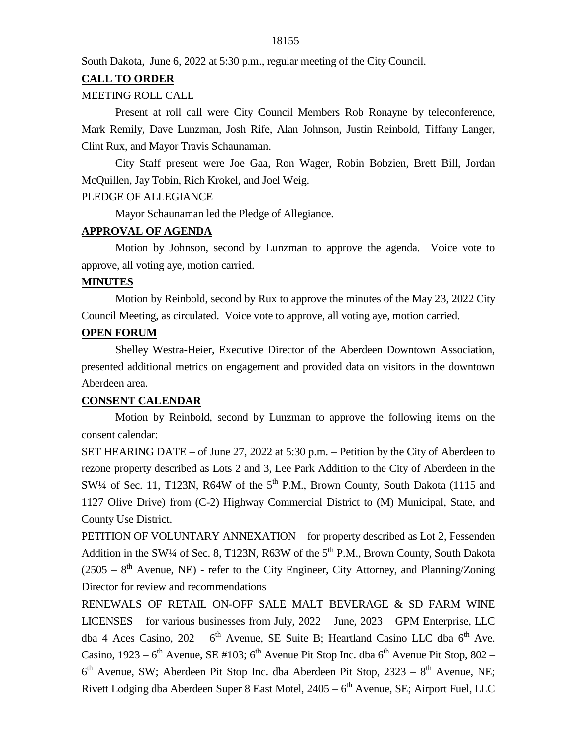South Dakota, June 6, 2022 at 5:30 p.m., regular meeting of the City Council.

## **CALL TO ORDER**

### MEETING ROLL CALL

Present at roll call were City Council Members Rob Ronayne by teleconference, Mark Remily, Dave Lunzman, Josh Rife, Alan Johnson, Justin Reinbold, Tiffany Langer, Clint Rux, and Mayor Travis Schaunaman.

City Staff present were Joe Gaa, Ron Wager, Robin Bobzien, Brett Bill, Jordan McQuillen, Jay Tobin, Rich Krokel, and Joel Weig.

## PLEDGE OF ALLEGIANCE

Mayor Schaunaman led the Pledge of Allegiance.

## **APPROVAL OF AGENDA**

Motion by Johnson, second by Lunzman to approve the agenda. Voice vote to approve, all voting aye, motion carried.

### **MINUTES**

Motion by Reinbold, second by Rux to approve the minutes of the May 23, 2022 City Council Meeting, as circulated. Voice vote to approve, all voting aye, motion carried.

# **OPEN FORUM**

Shelley Westra-Heier, Executive Director of the Aberdeen Downtown Association, presented additional metrics on engagement and provided data on visitors in the downtown Aberdeen area.

## **CONSENT CALENDAR**

Motion by Reinbold, second by Lunzman to approve the following items on the consent calendar:

SET HEARING DATE – of June 27, 2022 at 5:30 p.m. – Petition by the City of Aberdeen to rezone property described as Lots 2 and 3, Lee Park Addition to the City of Aberdeen in the  $SW\frac{1}{4}$  of Sec. 11, T123N, R64W of the  $5<sup>th</sup>$  P.M., Brown County, South Dakota (1115 and 1127 Olive Drive) from (C-2) Highway Commercial District to (M) Municipal, State, and County Use District.

PETITION OF VOLUNTARY ANNEXATION – for property described as Lot 2, Fessenden Addition in the SW¼ of Sec. 8, T123N, R63W of the  $5<sup>th</sup>$  P.M., Brown County, South Dakota  $(2505 - 8<sup>th</sup>$  Avenue, NE) - refer to the City Engineer, City Attorney, and Planning/Zoning Director for review and recommendations

RENEWALS OF RETAIL ON-OFF SALE MALT BEVERAGE & SD FARM WINE LICENSES – for various businesses from July, 2022 – June, 2023 – GPM Enterprise, LLC dba 4 Aces Casino,  $202 - 6$ <sup>th</sup> Avenue, SE Suite B; Heartland Casino LLC dba  $6$ <sup>th</sup> Ave. Casino, 1923 –  $6<sup>th</sup>$  Avenue, SE #103;  $6<sup>th</sup>$  Avenue Pit Stop Inc. dba  $6<sup>th</sup>$  Avenue Pit Stop, 802 –  $6<sup>th</sup>$  Avenue, SW; Aberdeen Pit Stop Inc. dba Aberdeen Pit Stop, 2323 –  $8<sup>th</sup>$  Avenue, NE; Rivett Lodging dba Aberdeen Super 8 East Motel, 2405 – 6<sup>th</sup> Avenue, SE; Airport Fuel, LLC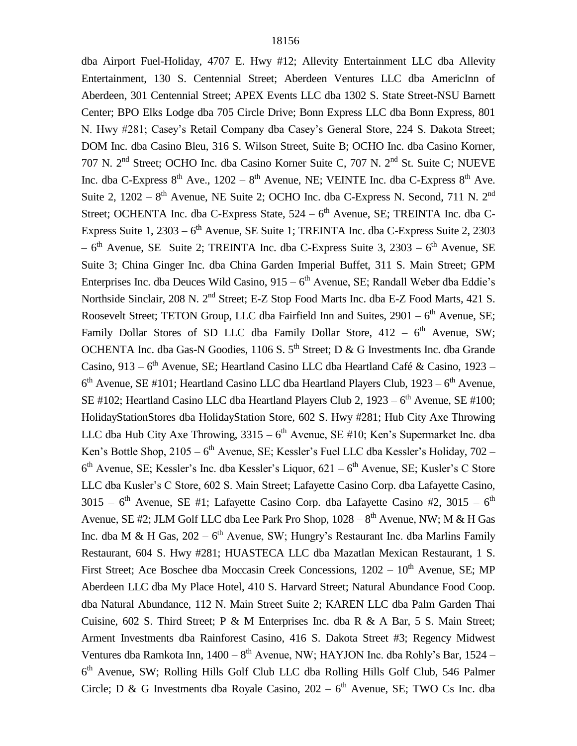dba Airport Fuel-Holiday, 4707 E. Hwy #12; Allevity Entertainment LLC dba Allevity Entertainment, 130 S. Centennial Street; Aberdeen Ventures LLC dba AmericInn of Aberdeen, 301 Centennial Street; APEX Events LLC dba 1302 S. State Street-NSU Barnett Center; BPO Elks Lodge dba 705 Circle Drive; Bonn Express LLC dba Bonn Express, 801 N. Hwy #281; Casey's Retail Company dba Casey's General Store, 224 S. Dakota Street; DOM Inc. dba Casino Bleu, 316 S. Wilson Street, Suite B; OCHO Inc. dba Casino Korner, 707 N. 2nd Street; OCHO Inc. dba Casino Korner Suite C, 707 N. 2nd St. Suite C; NUEVE Inc. dba C-Express  $8<sup>th</sup>$  Ave., 1202 –  $8<sup>th</sup>$  Avenue, NE; VEINTE Inc. dba C-Express  $8<sup>th</sup>$  Ave. Suite 2,  $1202 - 8$ <sup>th</sup> Avenue, NE Suite 2; OCHO Inc. dba C-Express N. Second, 711 N. 2<sup>nd</sup> Street; OCHENTA Inc. dba C-Express State, 524 – 6<sup>th</sup> Avenue, SE; TREINTA Inc. dba C-Express Suite 1, 2303 – 6<sup>th</sup> Avenue, SE Suite 1; TREINTA Inc. dba C-Express Suite 2, 2303  $-6<sup>th</sup>$  Avenue, SE Suite 2; TREINTA Inc. dba C-Express Suite 3, 2303 –  $6<sup>th</sup>$  Avenue, SE Suite 3; China Ginger Inc. dba China Garden Imperial Buffet, 311 S. Main Street; GPM Enterprises Inc. dba Deuces Wild Casino, 915 – 6<sup>th</sup> Avenue, SE; Randall Weber dba Eddie's Northside Sinclair, 208 N. 2nd Street; E-Z Stop Food Marts Inc. dba E-Z Food Marts, 421 S. Roosevelt Street; TETON Group, LLC dba Fairfield Inn and Suites,  $2901 - 6<sup>th</sup>$  Avenue, SE; Family Dollar Stores of SD LLC dba Family Dollar Store,  $412 - 6$ <sup>th</sup> Avenue, SW; OCHENTA Inc. dba Gas-N Goodies, 1106 S.  $5<sup>th</sup>$  Street; D & G Investments Inc. dba Grande Casino, 913 – 6<sup>th</sup> Avenue, SE; Heartland Casino LLC dba Heartland Café & Casino, 1923 –  $6<sup>th</sup>$  Avenue, SE #101; Heartland Casino LLC dba Heartland Players Club, 1923 –  $6<sup>th</sup>$  Avenue, SE #102; Heartland Casino LLC dba Heartland Players Club 2,  $1923 - 6$ <sup>th</sup> Avenue, SE #100; HolidayStationStores dba HolidayStation Store, 602 S. Hwy #281; Hub City Axe Throwing LLC dba Hub City Axe Throwing,  $3315 - 6^{th}$  Avenue, SE #10; Ken's Supermarket Inc. dba Ken's Bottle Shop, 2105 – 6<sup>th</sup> Avenue, SE; Kessler's Fuel LLC dba Kessler's Holiday, 702 – 6<sup>th</sup> Avenue, SE; Kessler's Inc. dba Kessler's Liquor, 621 – 6<sup>th</sup> Avenue, SE; Kusler's C Store LLC dba Kusler's C Store, 602 S. Main Street; Lafayette Casino Corp. dba Lafayette Casino, 3015 –  $6^{\text{th}}$  Avenue, SE #1; Lafayette Casino Corp. dba Lafayette Casino #2, 3015 –  $6^{\text{th}}$ Avenue, SE #2; JLM Golf LLC dba Lee Park Pro Shop,  $1028 - 8<sup>th</sup>$  Avenue, NW; M & H Gas Inc. dba M & H Gas,  $202 - 6<sup>th</sup>$  Avenue, SW; Hungry's Restaurant Inc. dba Marlins Family Restaurant, 604 S. Hwy #281; HUASTECA LLC dba Mazatlan Mexican Restaurant, 1 S. First Street; Ace Boschee dba Moccasin Creek Concessions,  $1202 - 10<sup>th</sup>$  Avenue, SE; MP Aberdeen LLC dba My Place Hotel, 410 S. Harvard Street; Natural Abundance Food Coop. dba Natural Abundance, 112 N. Main Street Suite 2; KAREN LLC dba Palm Garden Thai Cuisine, 602 S. Third Street; P & M Enterprises Inc. dba R & A Bar, 5 S. Main Street; Arment Investments dba Rainforest Casino, 416 S. Dakota Street #3; Regency Midwest Ventures dba Ramkota Inn,  $1400 - 8$ <sup>th</sup> Avenue, NW; HAYJON Inc. dba Rohly's Bar, 1524 – 6 th Avenue, SW; Rolling Hills Golf Club LLC dba Rolling Hills Golf Club, 546 Palmer Circle; D & G Investments dba Royale Casino,  $202 - 6$ <sup>th</sup> Avenue, SE; TWO Cs Inc. dba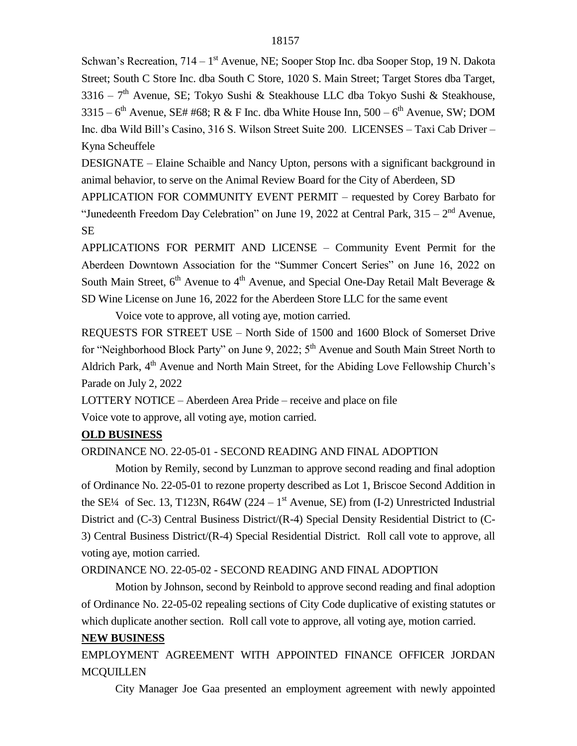Schwan's Recreation, 714 – 1<sup>st</sup> Avenue, NE; Sooper Stop Inc. dba Sooper Stop, 19 N. Dakota Street; South C Store Inc. dba South C Store, 1020 S. Main Street; Target Stores dba Target, 3316 – 7<sup>th</sup> Avenue, SE; Tokyo Sushi & Steakhouse LLC dba Tokyo Sushi & Steakhouse, 3315 –  $6<sup>th</sup>$  Avenue, SE# #68; R & F Inc. dba White House Inn, 500 –  $6<sup>th</sup>$  Avenue, SW; DOM Inc. dba Wild Bill's Casino, 316 S. Wilson Street Suite 200. LICENSES – Taxi Cab Driver – Kyna Scheuffele

DESIGNATE – Elaine Schaible and Nancy Upton, persons with a significant background in animal behavior, to serve on the Animal Review Board for the City of Aberdeen, SD

APPLICATION FOR COMMUNITY EVENT PERMIT – requested by Corey Barbato for "Junedeenth Freedom Day Celebration" on June 19, 2022 at Central Park,  $315 - 2<sup>nd</sup>$  Avenue, SE

APPLICATIONS FOR PERMIT AND LICENSE – Community Event Permit for the Aberdeen Downtown Association for the "Summer Concert Series" on June 16, 2022 on South Main Street,  $6<sup>th</sup>$  Avenue to  $4<sup>th</sup>$  Avenue, and Special One-Day Retail Malt Beverage  $\&$ SD Wine License on June 16, 2022 for the Aberdeen Store LLC for the same event

Voice vote to approve, all voting aye, motion carried.

REQUESTS FOR STREET USE – North Side of 1500 and 1600 Block of Somerset Drive for "Neighborhood Block Party" on June 9, 2022; 5<sup>th</sup> Avenue and South Main Street North to Aldrich Park, 4<sup>th</sup> Avenue and North Main Street, for the Abiding Love Fellowship Church's Parade on July 2, 2022

LOTTERY NOTICE – Aberdeen Area Pride – receive and place on file Voice vote to approve, all voting aye, motion carried.

# **OLD BUSINESS**

ORDINANCE NO. 22-05-01 - SECOND READING AND FINAL ADOPTION

Motion by Remily, second by Lunzman to approve second reading and final adoption of Ordinance No. 22-05-01 to rezone property described as Lot 1, Briscoe Second Addition in the SE<sup>1</sup>/4 of Sec. 13, T123N, R64W (224 – 1<sup>st</sup> Avenue, SE) from (I-2) Unrestricted Industrial District and (C-3) Central Business District/(R-4) Special Density Residential District to (C-3) Central Business District/(R-4) Special Residential District. Roll call vote to approve, all voting aye, motion carried.

# ORDINANCE NO. 22-05-02 - SECOND READING AND FINAL ADOPTION

Motion by Johnson, second by Reinbold to approve second reading and final adoption of Ordinance No. 22-05-02 repealing sections of City Code duplicative of existing statutes or which duplicate another section. Roll call vote to approve, all voting aye, motion carried.

# **NEW BUSINESS**

EMPLOYMENT AGREEMENT WITH APPOINTED FINANCE OFFICER JORDAN **MCOUILLEN** 

City Manager Joe Gaa presented an employment agreement with newly appointed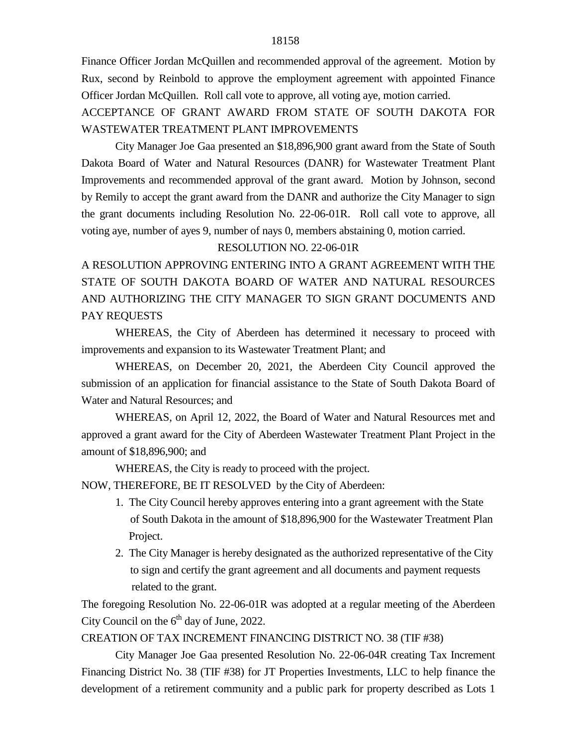Finance Officer Jordan McQuillen and recommended approval of the agreement. Motion by Rux, second by Reinbold to approve the employment agreement with appointed Finance Officer Jordan McQuillen. Roll call vote to approve, all voting aye, motion carried.

ACCEPTANCE OF GRANT AWARD FROM STATE OF SOUTH DAKOTA FOR WASTEWATER TREATMENT PLANT IMPROVEMENTS

City Manager Joe Gaa presented an \$18,896,900 grant award from the State of South Dakota Board of Water and Natural Resources (DANR) for Wastewater Treatment Plant Improvements and recommended approval of the grant award. Motion by Johnson, second by Remily to accept the grant award from the DANR and authorize the City Manager to sign the grant documents including Resolution No. 22-06-01R. Roll call vote to approve, all voting aye, number of ayes 9, number of nays 0, members abstaining 0, motion carried.

# RESOLUTION NO. 22-06-01R

A RESOLUTION APPROVING ENTERING INTO A GRANT AGREEMENT WITH THE STATE OF SOUTH DAKOTA BOARD OF WATER AND NATURAL RESOURCES AND AUTHORIZING THE CITY MANAGER TO SIGN GRANT DOCUMENTS AND PAY REQUESTS

WHEREAS, the City of Aberdeen has determined it necessary to proceed with improvements and expansion to its Wastewater Treatment Plant; and

WHEREAS, on December 20, 2021, the Aberdeen City Council approved the submission of an application for financial assistance to the State of South Dakota Board of Water and Natural Resources; and

WHEREAS, on April 12, 2022, the Board of Water and Natural Resources met and approved a grant award for the City of Aberdeen Wastewater Treatment Plant Project in the amount of \$18,896,900; and

WHEREAS, the City is ready to proceed with the project.

NOW, THEREFORE, BE IT RESOLVED by the City of Aberdeen:

- 1. The City Council hereby approves entering into a grant agreement with the State of South Dakota in the amount of \$18,896,900 for the Wastewater Treatment Plan Project.
- 2. The City Manager is hereby designated as the authorized representative of the City to sign and certify the grant agreement and all documents and payment requests related to the grant.

The foregoing Resolution No. 22-06-01R was adopted at a regular meeting of the Aberdeen City Council on the  $6<sup>th</sup>$  day of June, 2022.

CREATION OF TAX INCREMENT FINANCING DISTRICT NO. 38 (TIF #38)

City Manager Joe Gaa presented Resolution No. 22-06-04R creating Tax Increment Financing District No. 38 (TIF #38) for JT Properties Investments, LLC to help finance the development of a retirement community and a public park for property described as Lots 1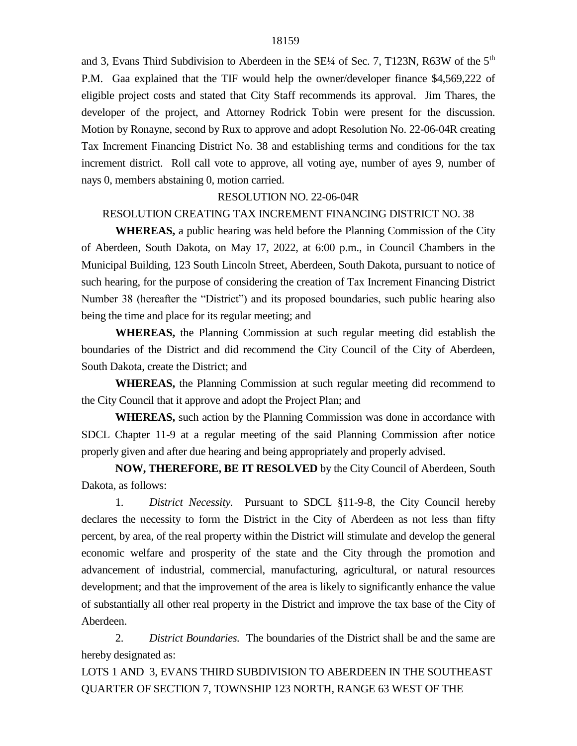and 3, Evans Third Subdivision to Aberdeen in the  $SE/4$  of Sec. 7, T123N, R63W of the  $5<sup>th</sup>$ P.M. Gaa explained that the TIF would help the owner/developer finance \$4,569,222 of eligible project costs and stated that City Staff recommends its approval. Jim Thares, the developer of the project, and Attorney Rodrick Tobin were present for the discussion. Motion by Ronayne, second by Rux to approve and adopt Resolution No. 22-06-04R creating Tax Increment Financing District No. 38 and establishing terms and conditions for the tax increment district. Roll call vote to approve, all voting aye, number of ayes 9, number of nays 0, members abstaining 0, motion carried.

### RESOLUTION NO. 22-06-04R

### RESOLUTION CREATING TAX INCREMENT FINANCING DISTRICT NO. 38

**WHEREAS,** a public hearing was held before the Planning Commission of the City of Aberdeen, South Dakota, on May 17, 2022, at 6:00 p.m., in Council Chambers in the Municipal Building, 123 South Lincoln Street, Aberdeen, South Dakota, pursuant to notice of such hearing, for the purpose of considering the creation of Tax Increment Financing District Number 38 (hereafter the "District") and its proposed boundaries, such public hearing also being the time and place for its regular meeting; and

**WHEREAS,** the Planning Commission at such regular meeting did establish the boundaries of the District and did recommend the City Council of the City of Aberdeen, South Dakota, create the District; and

**WHEREAS,** the Planning Commission at such regular meeting did recommend to the City Council that it approve and adopt the Project Plan; and

**WHEREAS,** such action by the Planning Commission was done in accordance with SDCL Chapter 11-9 at a regular meeting of the said Planning Commission after notice properly given and after due hearing and being appropriately and properly advised.

**NOW, THEREFORE, BE IT RESOLVED** by the City Council of Aberdeen, South Dakota, as follows:

1. *District Necessity.* Pursuant to SDCL §11-9-8, the City Council hereby declares the necessity to form the District in the City of Aberdeen as not less than fifty percent, by area, of the real property within the District will stimulate and develop the general economic welfare and prosperity of the state and the City through the promotion and advancement of industrial, commercial, manufacturing, agricultural, or natural resources development; and that the improvement of the area is likely to significantly enhance the value of substantially all other real property in the District and improve the tax base of the City of Aberdeen.

2. *District Boundaries.* The boundaries of the District shall be and the same are hereby designated as:

LOTS 1 AND 3, EVANS THIRD SUBDIVISION TO ABERDEEN IN THE SOUTHEAST QUARTER OF SECTION 7, TOWNSHIP 123 NORTH, RANGE 63 WEST OF THE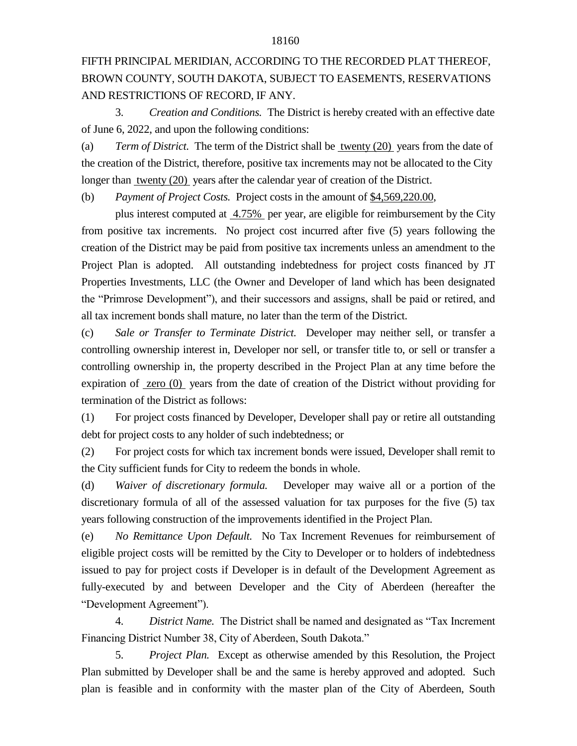# FIFTH PRINCIPAL MERIDIAN, ACCORDING TO THE RECORDED PLAT THEREOF, BROWN COUNTY, SOUTH DAKOTA, SUBJECT TO EASEMENTS, RESERVATIONS AND RESTRICTIONS OF RECORD, IF ANY.

3. *Creation and Conditions.* The District is hereby created with an effective date of June 6, 2022, and upon the following conditions:

(a) *Term of District.* The term of the District shall be twenty (20) years from the date of the creation of the District, therefore, positive tax increments may not be allocated to the City longer than twenty (20) years after the calendar year of creation of the District.

(b) *Payment of Project Costs.* Project costs in the amount of \$4,569,220.00,

plus interest computed at 4.75% per year, are eligible for reimbursement by the City from positive tax increments. No project cost incurred after five (5) years following the creation of the District may be paid from positive tax increments unless an amendment to the Project Plan is adopted. All outstanding indebtedness for project costs financed by JT Properties Investments, LLC (the Owner and Developer of land which has been designated the "Primrose Development"), and their successors and assigns, shall be paid or retired, and all tax increment bonds shall mature, no later than the term of the District.

(c) *Sale or Transfer to Terminate District.* Developer may neither sell, or transfer a controlling ownership interest in, Developer nor sell, or transfer title to, or sell or transfer a controlling ownership in, the property described in the Project Plan at any time before the expiration of zero (0) years from the date of creation of the District without providing for termination of the District as follows:

(1) For project costs financed by Developer, Developer shall pay or retire all outstanding debt for project costs to any holder of such indebtedness; or

(2) For project costs for which tax increment bonds were issued, Developer shall remit to the City sufficient funds for City to redeem the bonds in whole.

(d) *Waiver of discretionary formula.* Developer may waive all or a portion of the discretionary formula of all of the assessed valuation for tax purposes for the five (5) tax years following construction of the improvements identified in the Project Plan.

(e) *No Remittance Upon Default.* No Tax Increment Revenues for reimbursement of eligible project costs will be remitted by the City to Developer or to holders of indebtedness issued to pay for project costs if Developer is in default of the Development Agreement as fully-executed by and between Developer and the City of Aberdeen (hereafter the "Development Agreement").

4. *District Name.* The District shall be named and designated as "Tax Increment Financing District Number 38, City of Aberdeen, South Dakota."

5. *Project Plan.* Except as otherwise amended by this Resolution, the Project Plan submitted by Developer shall be and the same is hereby approved and adopted. Such plan is feasible and in conformity with the master plan of the City of Aberdeen, South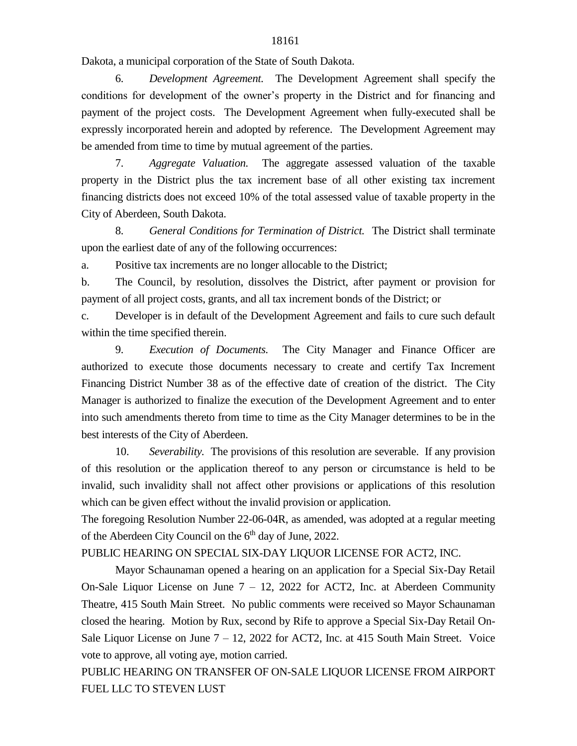Dakota, a municipal corporation of the State of South Dakota.

6. *Development Agreement.* The Development Agreement shall specify the conditions for development of the owner's property in the District and for financing and payment of the project costs. The Development Agreement when fully-executed shall be expressly incorporated herein and adopted by reference. The Development Agreement may be amended from time to time by mutual agreement of the parties.

7. *Aggregate Valuation.* The aggregate assessed valuation of the taxable property in the District plus the tax increment base of all other existing tax increment financing districts does not exceed 10% of the total assessed value of taxable property in the City of Aberdeen, South Dakota.

8. *General Conditions for Termination of District.* The District shall terminate upon the earliest date of any of the following occurrences:

a. Positive tax increments are no longer allocable to the District;

b. The Council, by resolution, dissolves the District, after payment or provision for payment of all project costs, grants, and all tax increment bonds of the District; or

c. Developer is in default of the Development Agreement and fails to cure such default within the time specified therein.

9. *Execution of Documents.* The City Manager and Finance Officer are authorized to execute those documents necessary to create and certify Tax Increment Financing District Number 38 as of the effective date of creation of the district. The City Manager is authorized to finalize the execution of the Development Agreement and to enter into such amendments thereto from time to time as the City Manager determines to be in the best interests of the City of Aberdeen.

10. *Severability.* The provisions of this resolution are severable. If any provision of this resolution or the application thereof to any person or circumstance is held to be invalid, such invalidity shall not affect other provisions or applications of this resolution which can be given effect without the invalid provision or application.

The foregoing Resolution Number 22-06-04R, as amended, was adopted at a regular meeting of the Aberdeen City Council on the  $6<sup>th</sup>$  day of June, 2022.

PUBLIC HEARING ON SPECIAL SIX-DAY LIQUOR LICENSE FOR ACT2, INC.

Mayor Schaunaman opened a hearing on an application for a Special Six-Day Retail On-Sale Liquor License on June  $7 - 12$ , 2022 for ACT2, Inc. at Aberdeen Community Theatre, 415 South Main Street. No public comments were received so Mayor Schaunaman closed the hearing. Motion by Rux, second by Rife to approve a Special Six-Day Retail On-Sale Liquor License on June 7 – 12, 2022 for ACT2, Inc. at 415 South Main Street. Voice vote to approve, all voting aye, motion carried.

PUBLIC HEARING ON TRANSFER OF ON-SALE LIQUOR LICENSE FROM AIRPORT FUEL LLC TO STEVEN LUST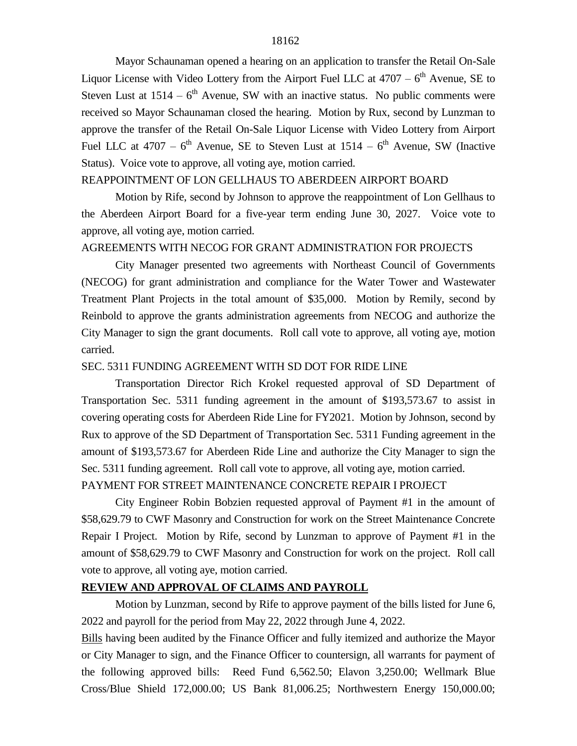Mayor Schaunaman opened a hearing on an application to transfer the Retail On-Sale Liquor License with Video Lottery from the Airport Fuel LLC at  $4707 - 6<sup>th</sup>$  Avenue, SE to Steven Lust at  $1514 - 6<sup>th</sup>$  Avenue, SW with an inactive status. No public comments were received so Mayor Schaunaman closed the hearing. Motion by Rux, second by Lunzman to approve the transfer of the Retail On-Sale Liquor License with Video Lottery from Airport Fuel LLC at  $4707 - 6$ <sup>th</sup> Avenue, SE to Steven Lust at  $1514 - 6$ <sup>th</sup> Avenue, SW (Inactive Status). Voice vote to approve, all voting aye, motion carried.

## REAPPOINTMENT OF LON GELLHAUS TO ABERDEEN AIRPORT BOARD

Motion by Rife, second by Johnson to approve the reappointment of Lon Gellhaus to the Aberdeen Airport Board for a five-year term ending June 30, 2027. Voice vote to approve, all voting aye, motion carried.

# AGREEMENTS WITH NECOG FOR GRANT ADMINISTRATION FOR PROJECTS

City Manager presented two agreements with Northeast Council of Governments (NECOG) for grant administration and compliance for the Water Tower and Wastewater Treatment Plant Projects in the total amount of \$35,000. Motion by Remily, second by Reinbold to approve the grants administration agreements from NECOG and authorize the City Manager to sign the grant documents. Roll call vote to approve, all voting aye, motion carried.

#### SEC. 5311 FUNDING AGREEMENT WITH SD DOT FOR RIDE LINE

Transportation Director Rich Krokel requested approval of SD Department of Transportation Sec. 5311 funding agreement in the amount of \$193,573.67 to assist in covering operating costs for Aberdeen Ride Line for FY2021. Motion by Johnson, second by Rux to approve of the SD Department of Transportation Sec. 5311 Funding agreement in the amount of \$193,573.67 for Aberdeen Ride Line and authorize the City Manager to sign the Sec. 5311 funding agreement. Roll call vote to approve, all voting aye, motion carried. PAYMENT FOR STREET MAINTENANCE CONCRETE REPAIR I PROJECT

City Engineer Robin Bobzien requested approval of Payment #1 in the amount of \$58,629.79 to CWF Masonry and Construction for work on the Street Maintenance Concrete Repair I Project. Motion by Rife, second by Lunzman to approve of Payment #1 in the amount of \$58,629.79 to CWF Masonry and Construction for work on the project. Roll call vote to approve, all voting aye, motion carried.

#### **REVIEW AND APPROVAL OF CLAIMS AND PAYROLL**

Motion by Lunzman, second by Rife to approve payment of the bills listed for June 6, 2022 and payroll for the period from May 22, 2022 through June 4, 2022.

Bills having been audited by the Finance Officer and fully itemized and authorize the Mayor or City Manager to sign, and the Finance Officer to countersign, all warrants for payment of the following approved bills: Reed Fund 6,562.50; Elavon 3,250.00; Wellmark Blue Cross/Blue Shield 172,000.00; US Bank 81,006.25; Northwestern Energy 150,000.00;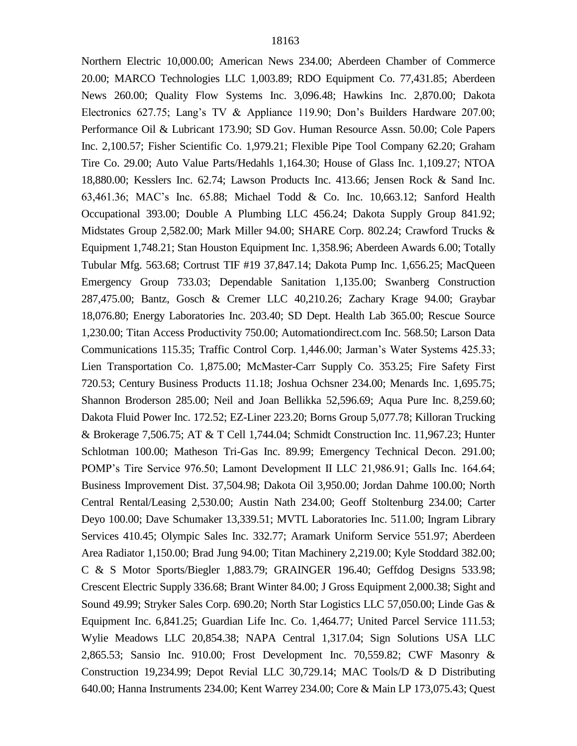Northern Electric 10,000.00; American News 234.00; Aberdeen Chamber of Commerce 20.00; MARCO Technologies LLC 1,003.89; RDO Equipment Co. 77,431.85; Aberdeen News 260.00; Quality Flow Systems Inc. 3,096.48; Hawkins Inc. 2,870.00; Dakota Electronics 627.75; Lang's TV & Appliance 119.90; Don's Builders Hardware 207.00; Performance Oil & Lubricant 173.90; SD Gov. Human Resource Assn. 50.00; Cole Papers Inc. 2,100.57; Fisher Scientific Co. 1,979.21; Flexible Pipe Tool Company 62.20; Graham Tire Co. 29.00; Auto Value Parts/Hedahls 1,164.30; House of Glass Inc. 1,109.27; NTOA 18,880.00; Kesslers Inc. 62.74; Lawson Products Inc. 413.66; Jensen Rock & Sand Inc. 63,461.36; MAC's Inc. 65.88; Michael Todd & Co. Inc. 10,663.12; Sanford Health Occupational 393.00; Double A Plumbing LLC 456.24; Dakota Supply Group 841.92; Midstates Group 2,582.00; Mark Miller 94.00; SHARE Corp. 802.24; Crawford Trucks & Equipment 1,748.21; Stan Houston Equipment Inc. 1,358.96; Aberdeen Awards 6.00; Totally Tubular Mfg. 563.68; Cortrust TIF #19 37,847.14; Dakota Pump Inc. 1,656.25; MacQueen Emergency Group 733.03; Dependable Sanitation 1,135.00; Swanberg Construction 287,475.00; Bantz, Gosch & Cremer LLC 40,210.26; Zachary Krage 94.00; Graybar 18,076.80; Energy Laboratories Inc. 203.40; SD Dept. Health Lab 365.00; Rescue Source 1,230.00; Titan Access Productivity 750.00; Automationdirect.com Inc. 568.50; Larson Data Communications 115.35; Traffic Control Corp. 1,446.00; Jarman's Water Systems 425.33; Lien Transportation Co. 1,875.00; McMaster-Carr Supply Co. 353.25; Fire Safety First 720.53; Century Business Products 11.18; Joshua Ochsner 234.00; Menards Inc. 1,695.75; Shannon Broderson 285.00; Neil and Joan Bellikka 52,596.69; Aqua Pure Inc. 8,259.60; Dakota Fluid Power Inc. 172.52; EZ-Liner 223.20; Borns Group 5,077.78; Killoran Trucking & Brokerage 7,506.75; AT & T Cell 1,744.04; Schmidt Construction Inc. 11,967.23; Hunter Schlotman 100.00; Matheson Tri-Gas Inc. 89.99; Emergency Technical Decon. 291.00; POMP's Tire Service 976.50; Lamont Development II LLC 21,986.91; Galls Inc. 164.64; Business Improvement Dist. 37,504.98; Dakota Oil 3,950.00; Jordan Dahme 100.00; North Central Rental/Leasing 2,530.00; Austin Nath 234.00; Geoff Stoltenburg 234.00; Carter Deyo 100.00; Dave Schumaker 13,339.51; MVTL Laboratories Inc. 511.00; Ingram Library Services 410.45; Olympic Sales Inc. 332.77; Aramark Uniform Service 551.97; Aberdeen Area Radiator 1,150.00; Brad Jung 94.00; Titan Machinery 2,219.00; Kyle Stoddard 382.00; C & S Motor Sports/Biegler 1,883.79; GRAINGER 196.40; Geffdog Designs 533.98; Crescent Electric Supply 336.68; Brant Winter 84.00; J Gross Equipment 2,000.38; Sight and Sound 49.99; Stryker Sales Corp. 690.20; North Star Logistics LLC 57,050.00; Linde Gas & Equipment Inc. 6,841.25; Guardian Life Inc. Co. 1,464.77; United Parcel Service 111.53; Wylie Meadows LLC 20,854.38; NAPA Central 1,317.04; Sign Solutions USA LLC 2,865.53; Sansio Inc. 910.00; Frost Development Inc. 70,559.82; CWF Masonry & Construction 19,234.99; Depot Revial LLC 30,729.14; MAC Tools/D & D Distributing 640.00; Hanna Instruments 234.00; Kent Warrey 234.00; Core & Main LP 173,075.43; Quest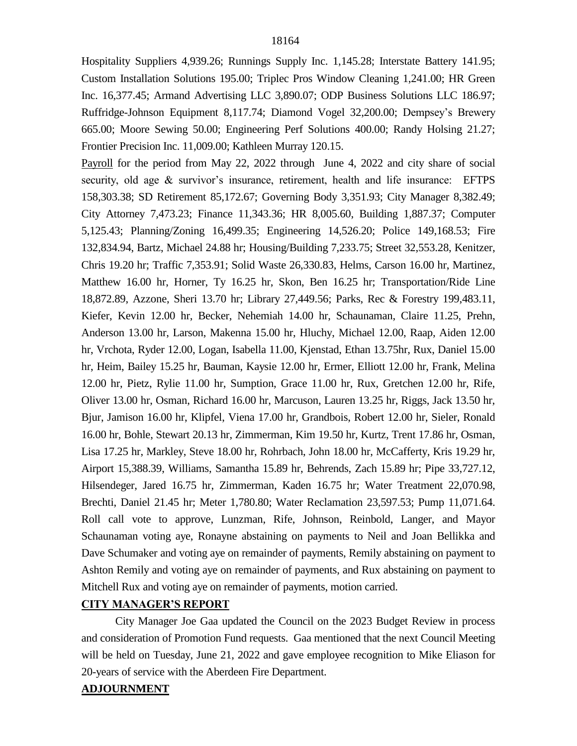Hospitality Suppliers 4,939.26; Runnings Supply Inc. 1,145.28; Interstate Battery 141.95; Custom Installation Solutions 195.00; Triplec Pros Window Cleaning 1,241.00; HR Green Inc. 16,377.45; Armand Advertising LLC 3,890.07; ODP Business Solutions LLC 186.97; Ruffridge-Johnson Equipment 8,117.74; Diamond Vogel 32,200.00; Dempsey's Brewery 665.00; Moore Sewing 50.00; Engineering Perf Solutions 400.00; Randy Holsing 21.27; Frontier Precision Inc. 11,009.00; Kathleen Murray 120.15.

Payroll for the period from May 22, 2022 through June 4, 2022 and city share of social security, old age & survivor's insurance, retirement, health and life insurance: EFTPS 158,303.38; SD Retirement 85,172.67; Governing Body 3,351.93; City Manager 8,382.49; City Attorney 7,473.23; Finance 11,343.36; HR 8,005.60, Building 1,887.37; Computer 5,125.43; Planning/Zoning 16,499.35; Engineering 14,526.20; Police 149,168.53; Fire 132,834.94, Bartz, Michael 24.88 hr; Housing/Building 7,233.75; Street 32,553.28, Kenitzer, Chris 19.20 hr; Traffic 7,353.91; Solid Waste 26,330.83, Helms, Carson 16.00 hr, Martinez, Matthew 16.00 hr, Horner, Ty 16.25 hr, Skon, Ben 16.25 hr; Transportation/Ride Line 18,872.89, Azzone, Sheri 13.70 hr; Library 27,449.56; Parks, Rec & Forestry 199,483.11, Kiefer, Kevin 12.00 hr, Becker, Nehemiah 14.00 hr, Schaunaman, Claire 11.25, Prehn, Anderson 13.00 hr, Larson, Makenna 15.00 hr, Hluchy, Michael 12.00, Raap, Aiden 12.00 hr, Vrchota, Ryder 12.00, Logan, Isabella 11.00, Kjenstad, Ethan 13.75hr, Rux, Daniel 15.00 hr, Heim, Bailey 15.25 hr, Bauman, Kaysie 12.00 hr, Ermer, Elliott 12.00 hr, Frank, Melina 12.00 hr, Pietz, Rylie 11.00 hr, Sumption, Grace 11.00 hr, Rux, Gretchen 12.00 hr, Rife, Oliver 13.00 hr, Osman, Richard 16.00 hr, Marcuson, Lauren 13.25 hr, Riggs, Jack 13.50 hr, Bjur, Jamison 16.00 hr, Klipfel, Viena 17.00 hr, Grandbois, Robert 12.00 hr, Sieler, Ronald 16.00 hr, Bohle, Stewart 20.13 hr, Zimmerman, Kim 19.50 hr, Kurtz, Trent 17.86 hr, Osman, Lisa 17.25 hr, Markley, Steve 18.00 hr, Rohrbach, John 18.00 hr, McCafferty, Kris 19.29 hr, Airport 15,388.39, Williams, Samantha 15.89 hr, Behrends, Zach 15.89 hr; Pipe 33,727.12, Hilsendeger, Jared 16.75 hr, Zimmerman, Kaden 16.75 hr; Water Treatment 22,070.98, Brechti, Daniel 21.45 hr; Meter 1,780.80; Water Reclamation 23,597.53; Pump 11,071.64. Roll call vote to approve, Lunzman, Rife, Johnson, Reinbold, Langer, and Mayor Schaunaman voting aye, Ronayne abstaining on payments to Neil and Joan Bellikka and Dave Schumaker and voting aye on remainder of payments, Remily abstaining on payment to Ashton Remily and voting aye on remainder of payments, and Rux abstaining on payment to Mitchell Rux and voting aye on remainder of payments, motion carried.

## **CITY MANAGER'S REPORT**

City Manager Joe Gaa updated the Council on the 2023 Budget Review in process and consideration of Promotion Fund requests. Gaa mentioned that the next Council Meeting will be held on Tuesday, June 21, 2022 and gave employee recognition to Mike Eliason for 20-years of service with the Aberdeen Fire Department.

## **ADJOURNMENT**